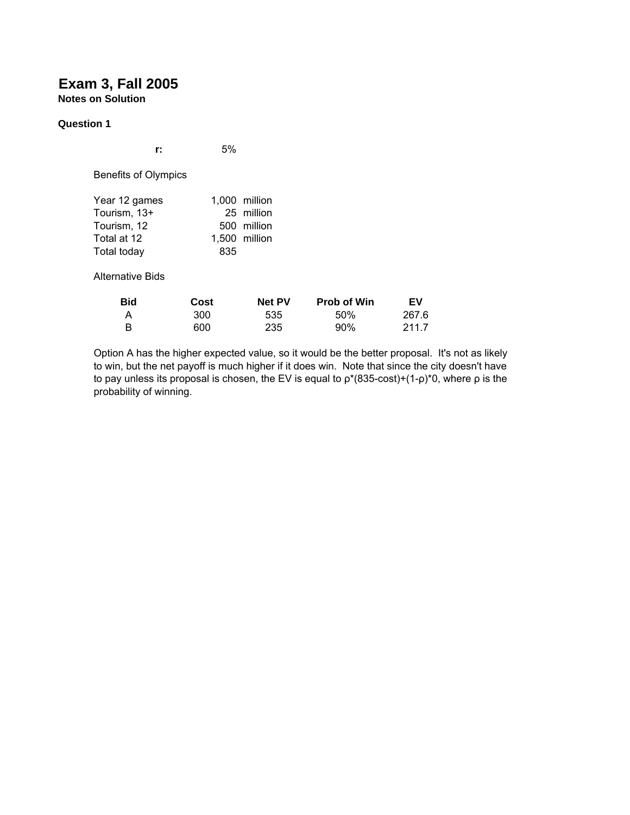# **Exam 3, Fall 2005 Notes on Solution**

#### **Question 1**

| r:                                                                         | 5%          |                                                             |
|----------------------------------------------------------------------------|-------------|-------------------------------------------------------------|
| Benefits of Olympics                                                       |             |                                                             |
| Year 12 games<br>Tourism, 13+<br>Tourism, 12<br>Total at 12<br>Total today | 835         | 1,000 million<br>25 million<br>500 million<br>1.500 million |
| Alternative Bids                                                           |             |                                                             |
| Bid<br>Λ                                                                   | Cost<br>∩∩פ | Net PV<br>につに                                               |

| <b>Bid</b> | Cost | <b>Net PV</b> | <b>Prob of Win</b> | EV    |
|------------|------|---------------|--------------------|-------|
| А          | 300  | 535           | 50%                | 267.6 |
| в          | 600  | 235           | $90\%$             | 211.7 |

Option A has the higher expected value, so it would be the better proposal. It's not as likely to win, but the net payoff is much higher if it does win. Note that since the city doesn't have to pay unless its proposal is chosen, the EV is equal to  $ρ*(835-cost)+(1-p)*0$ , where  $ρ$  is the probability of winning.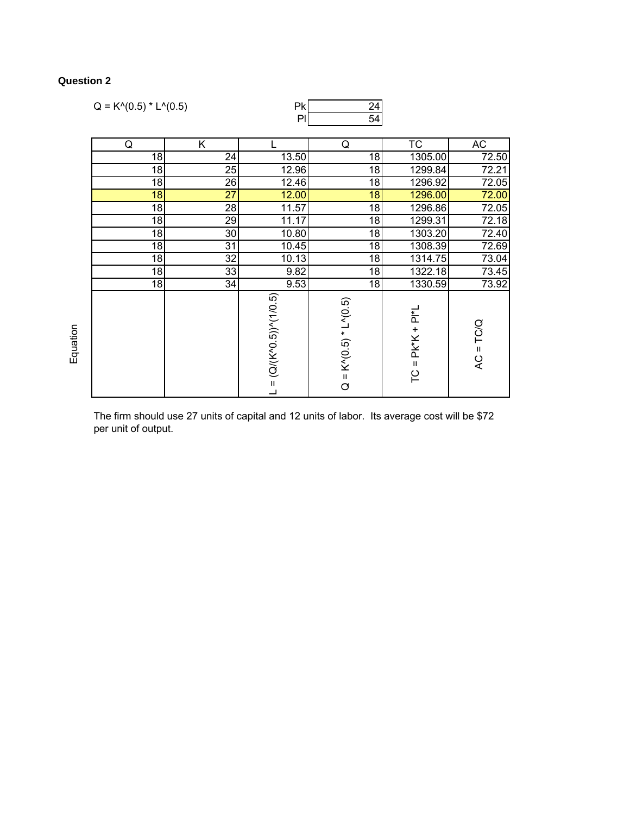# **Question 2**

| $Q = K^{(0.5) * L^{(0.5)}$ |    | Pk                              | $\overline{24}$                             |                    |             |
|----------------------------|----|---------------------------------|---------------------------------------------|--------------------|-------------|
|                            |    | PI                              | 54                                          |                    |             |
|                            |    |                                 |                                             |                    |             |
| Q                          | Κ  |                                 | Q                                           | TC                 | AC          |
| 18                         | 24 | 13.50                           | 18                                          | 1305.00            | 72.50       |
| 18                         | 25 | 12.96                           | 18                                          | 1299.84            | 72.21       |
| 18                         | 26 | 12.46                           | 18                                          | 1296.92            | 72.05       |
| 18                         | 27 | 12.00                           | 18                                          | 1296.00            | 72.00       |
| 18                         | 28 | 11.57                           | 18                                          | 1296.86            | 72.05       |
| 18                         | 29 | 11.17                           | 18                                          | 1299.31            | 72.18       |
| 18                         | 30 | 10.80                           | 18                                          | 1303.20            | 72.40       |
| 18                         | 31 | 10.45                           | 18                                          | 1308.39            | 72.69       |
| 18                         | 32 | 10.13                           | 18                                          | 1314.75            | 73.04       |
| 18                         | 33 | 9.82                            | 18                                          | 1322.18            | 73.45       |
| 18                         | 34 | 9.53                            | 18                                          | 1330.59            | 73.92       |
|                            |    | $L = (Q/(K^0 0.5))^{6} (1/0.5)$ | $K^N(0.5) * L^N(0.5)$<br>$\frac{1}{\alpha}$ | $TC = PK*K + PI*L$ | $AC = TC/Q$ |

The firm should use 27 units of capital and 12 units of labor. Its average cost will be \$72 per unit of output.

Equation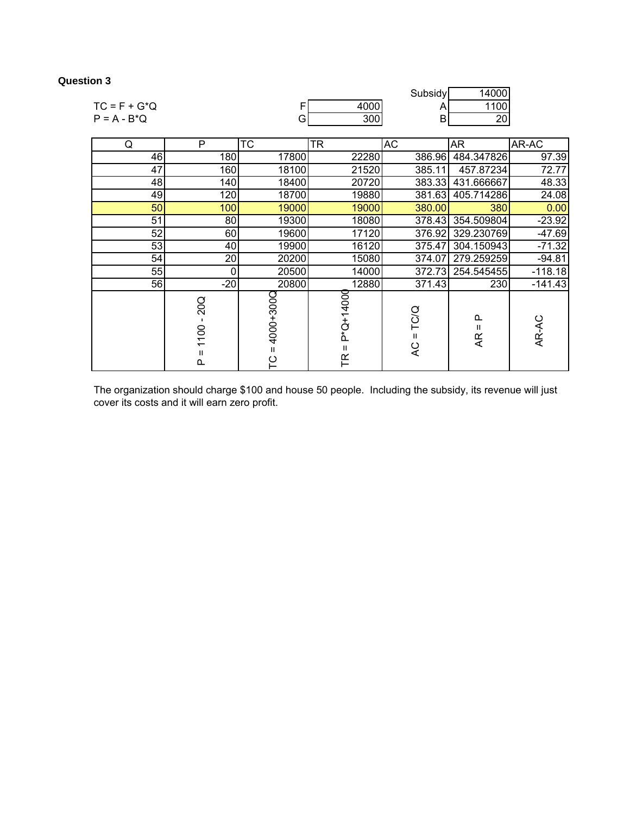## **Question 3**

|                 |   |     |       | Subsidy |          |                |
|-----------------|---|-----|-------|---------|----------|----------------|
| $TC = F + G^*Q$ |   |     | .0001 |         | 100      |                |
| $P = A - B^*Q$  |   |     | 300   | ັ       | nn<br>∠∪ |                |
|                 |   |     |       |         |          |                |
|                 | n | ∩⊤י | חדו   | $\sim$  | 1 A m    | $\overline{1}$ |

| Q  | ۲                     | ΙC             | IR.                            | AC.                       | AR.                           | AR-AC     |
|----|-----------------------|----------------|--------------------------------|---------------------------|-------------------------------|-----------|
| 46 | 180                   | 17800          | 22280                          | 386.96                    | 484.347826                    | 97.39     |
| 47 | 160                   | 18100          | 21520                          | 385.11                    | 457.87234                     | 72.77     |
| 48 | 140                   | 18400          | 20720                          | 383.33                    | 431.666667                    | 48.33     |
| 49 | 120                   | 18700          | 19880                          | 381.63                    | 405.714286                    | 24.08     |
| 50 | 100                   | 19000          | 19000                          | 380.00                    | 380                           | 0.00      |
| 51 | 80                    | 19300          | 18080                          | 378.43                    | 354.509804                    | $-23.92$  |
| 52 | 60                    | 19600          | 17120                          | 376.92                    | 329.230769                    | $-47.69$  |
| 53 | 40                    | 19900          | 16120                          | 375.47                    | 304.150943                    | $-71.32$  |
| 54 | 20                    | 20200          | 15080                          | 374.07                    | 279.259259                    | $-94.81$  |
| 55 | 0                     | 20500          | 14000                          | 372.73                    | 254.545455                    | $-118.18$ |
| 56 | $-20$                 | 20800          | 12880                          | 371.43                    | 230                           | $-141.43$ |
|    | 20Q<br>1100<br>Ш<br>௳ | 1000+3000<br>ပ | P*Q+14000<br>Ш<br>$\mathbb{R}$ | TC/Q<br>$\mathbf{H}$<br>Q | $\Omega$<br>$\mathbf{I}$<br>Æ | AR-AC     |

h

The organization should charge \$100 and house 50 people. Including the subsidy, its revenue will just cover its costs and it will earn zero profit.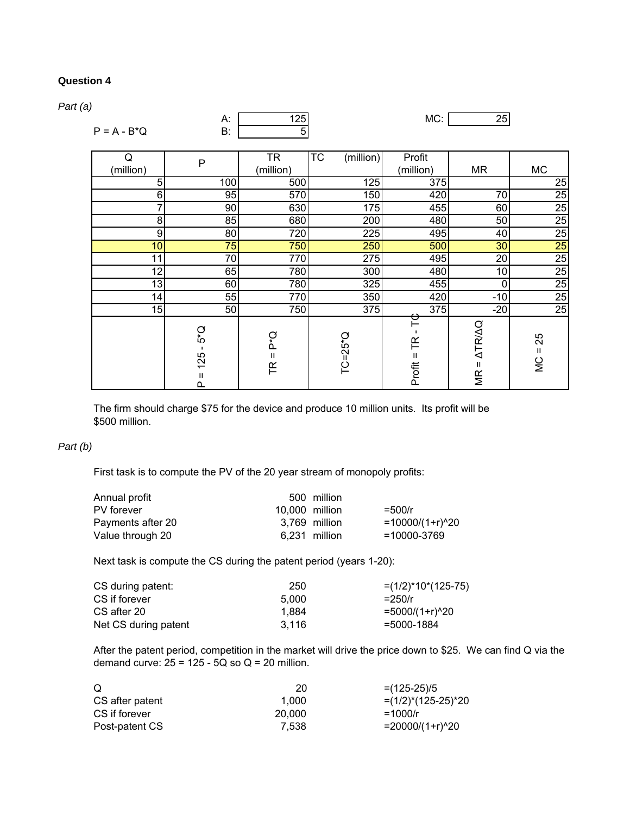### **Question 4**

*Part (a)*

| u)<br>$P = A - B^*Q$ | А:<br><b>B:</b>                                          | 125<br>5                               |                        | MC:                                 | 25                                        |                      |
|----------------------|----------------------------------------------------------|----------------------------------------|------------------------|-------------------------------------|-------------------------------------------|----------------------|
| Q<br>(million)       | $\mathsf P$                                              | <b>TR</b><br>(million)                 | <b>TC</b><br>(million) | Profit<br>(million)                 | <b>MR</b>                                 | <b>MC</b>            |
| 5                    | 100                                                      | 500                                    | 125                    | 375                                 |                                           | 25                   |
| 6                    | 95                                                       | 570                                    | 150                    | 420                                 | 70                                        | 25                   |
| 7                    | 90                                                       | 630                                    | 175                    | 455                                 | 60                                        | 25                   |
| 8                    | 85                                                       | 680                                    | 200                    | 480                                 | 50                                        | 25                   |
| 9                    | 80                                                       | 720                                    | 225                    | 495                                 | 40                                        | 25                   |
| 10                   | 75                                                       | 750                                    | 250                    | 500                                 | 30 <sup>°</sup>                           | 25                   |
| 11                   | 70                                                       | 770                                    | 275                    | 495                                 | 20                                        | 25                   |
| 12 <sub>1</sub>      | 65                                                       | 780                                    | 300                    | 480                                 | 10                                        | 25                   |
| 13                   | 60                                                       | 780                                    | 325                    | 455                                 | 0                                         | $\overline{25}$      |
| 14                   | 55                                                       | 770                                    | 350                    | 420                                 | $-10$                                     | 25                   |
| 15                   | 50                                                       | 750                                    | 375                    | 375                                 | $-20$                                     | 25                   |
|                      | ζ,<br>$\blacksquare$<br>125<br>$\mathsf{II}$<br>$\Omega$ | ρ*<br>Δ<br>$\mathbf H$<br>$\mathbb{R}$ | $TC=25^{\circ}Q$       | $\blacksquare$<br>FR<br>$Proofit =$ | <b>ATRIAQ</b><br>$\mathbf H$<br><b>MR</b> | 25<br>Ш<br><b>SI</b> |

The firm should charge \$75 for the device and produce 10 million units. Its profit will be \$500 million.

#### *Part (b)*

First task is to compute the PV of the 20 year stream of monopoly profits:

| Annual profit     |                | 500 million   |                     |
|-------------------|----------------|---------------|---------------------|
| PV forever        | 10,000 million |               | $=500/r$            |
| Payments after 20 |                | 3.769 million | $=10000/(1+r)^{20}$ |
| Value through 20  |                | 6.231 million | =10000-3769         |

Next task is compute the CS during the patent period (years 1-20):

| CS during patent:    | 250   | $=(1/2)^*10^*(125-75)$ |
|----------------------|-------|------------------------|
| CS if forever        | 5.000 | $= 250/r$              |
| CS after 20          | 1.884 | =5000/(1+r)^20         |
| Net CS during patent | 3.116 | =5000-1884             |

After the patent period, competition in the market will drive the price down to \$25. We can find Q via the demand curve:  $25 = 125 - 5Q$  so  $Q = 20$  million.

| O               | 20     | $=(125-25)/5$          |
|-----------------|--------|------------------------|
| CS after patent | 1.000  | $=(1/2)^*(125-25)^*20$ |
| CS if forever   | 20,000 | $=1000/r$              |
| Post-patent CS  | 7.538  | $= 20000/(1+r)^{20}$   |